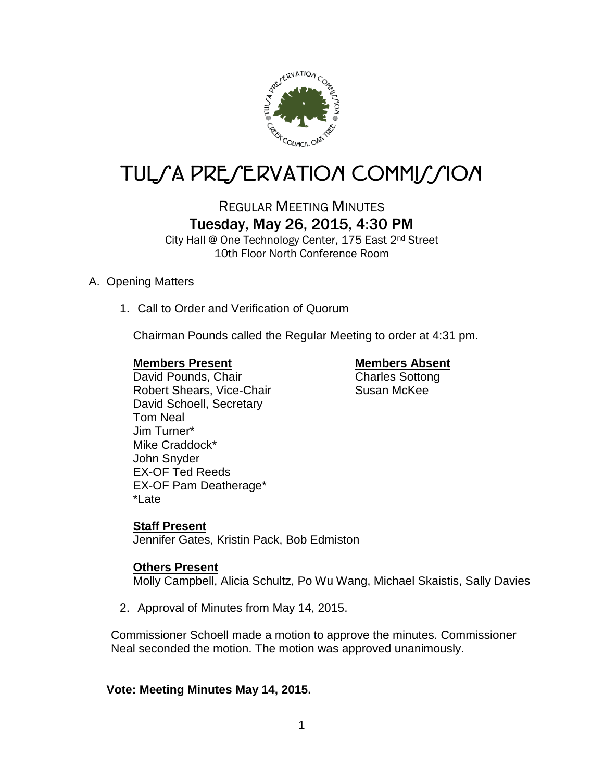

# TUL*SA PRESERVATION COMMISSION*

# REGULAR MEETING MINUTES Tuesday, May 26, 2015, 4:30 PM

City Hall @ One Technology Center, 175 East 2nd Street 10th Floor North Conference Room

# A. Opening Matters

1. Call to Order and Verification of Quorum

Chairman Pounds called the Regular Meeting to order at 4:31 pm.

### **Members Present Members Absent**

David Pounds, Chair Charles Sottong Robert Shears, Vice-Chair Susan McKee David Schoell, Secretary Tom Neal Jim Turner\* Mike Craddock\* John Snyder EX-OF Ted Reeds EX-OF Pam Deatherage\* \*Late

# **Staff Present**

Jennifer Gates, Kristin Pack, Bob Edmiston

# **Others Present**

Molly Campbell, Alicia Schultz, Po Wu Wang, Michael Skaistis, Sally Davies

2. Approval of Minutes from May 14, 2015.

Commissioner Schoell made a motion to approve the minutes. Commissioner Neal seconded the motion. The motion was approved unanimously.

### **Vote: Meeting Minutes May 14, 2015.**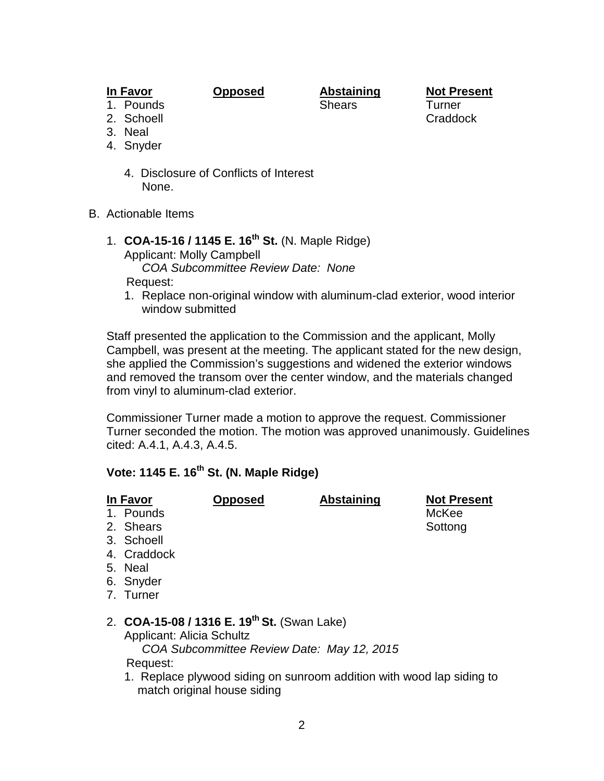**In Favor Opposed Abstaining Not Present**

- 
- 3. Neal
- 4. Snyder
	- 4. Disclosure of Conflicts of Interest None.
- B. Actionable Items
	- 1. **COA-15-16 / 1145 E. 16th St.** (N. Maple Ridge) Applicant: Molly Campbell

*COA Subcommittee Review Date: None*

Request:

1. Replace non-original window with aluminum-clad exterior, wood interior window submitted

Staff presented the application to the Commission and the applicant, Molly Campbell, was present at the meeting. The applicant stated for the new design, she applied the Commission's suggestions and widened the exterior windows and removed the transom over the center window, and the materials changed from vinyl to aluminum-clad exterior.

Commissioner Turner made a motion to approve the request. Commissioner Turner seconded the motion. The motion was approved unanimously. Guidelines cited: A.4.1, A.4.3, A.4.5.

# **Vote: 1145 E. 16th St. (N. Maple Ridge)**

| In Favor |                                                                                 | Opposed | <b>Abstaining</b>                          | <b>Not Present</b> |  |  |
|----------|---------------------------------------------------------------------------------|---------|--------------------------------------------|--------------------|--|--|
|          | 1. Pounds                                                                       |         |                                            | McKee              |  |  |
|          | 2. Shears                                                                       |         |                                            | Sottong            |  |  |
|          | 3. Schoell                                                                      |         |                                            |                    |  |  |
|          | 4. Craddock                                                                     |         |                                            |                    |  |  |
|          | 5. Neal                                                                         |         |                                            |                    |  |  |
|          | 6. Snyder                                                                       |         |                                            |                    |  |  |
|          | 7. Turner                                                                       |         |                                            |                    |  |  |
|          | 2. COA-15-08 / 1316 E. 19th St. (Swan Lake)<br><b>Applicant: Alicia Schultz</b> |         |                                            |                    |  |  |
|          |                                                                                 |         |                                            |                    |  |  |
|          |                                                                                 |         | COA Subcommittee Review Date: May 12, 2015 |                    |  |  |
|          | Request:                                                                        |         |                                            |                    |  |  |

1. Replace plywood siding on sunroom addition with wood lap siding to match original house siding

2

1. Pounds Shears Turner 2. Schoell **Craddock**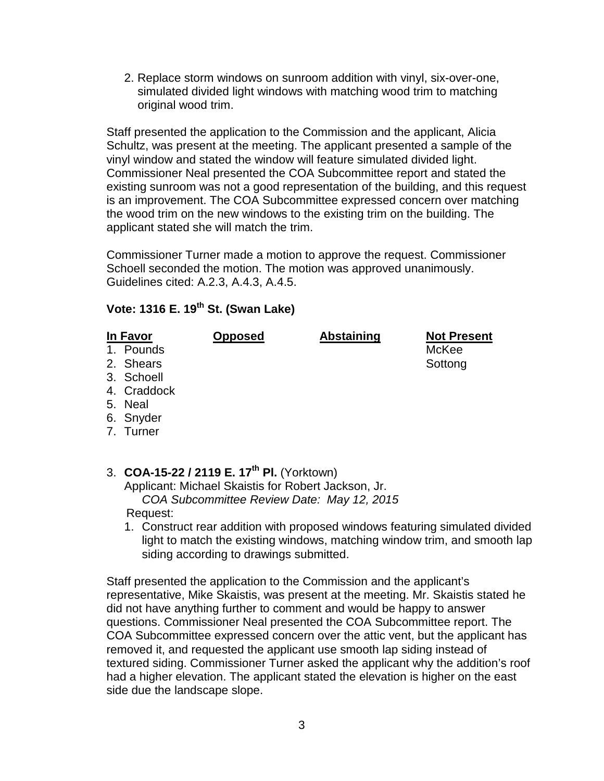2. Replace storm windows on sunroom addition with vinyl, six-over-one, simulated divided light windows with matching wood trim to matching original wood trim.

Staff presented the application to the Commission and the applicant, Alicia Schultz, was present at the meeting. The applicant presented a sample of the vinyl window and stated the window will feature simulated divided light. Commissioner Neal presented the COA Subcommittee report and stated the existing sunroom was not a good representation of the building, and this request is an improvement. The COA Subcommittee expressed concern over matching the wood trim on the new windows to the existing trim on the building. The applicant stated she will match the trim.

Commissioner Turner made a motion to approve the request. Commissioner Schoell seconded the motion. The motion was approved unanimously. Guidelines cited: A.2.3, A.4.3, A.4.5.

# **Vote: 1316 E. 19th St. (Swan Lake)**

# **In Favor Opposed Abstaining Not Present**

- 1. Pounds and the contract of the contract of the McKee
- 2. Shears Sottong and Sottong Sottong Sottong Sottong Sottong Sottong Sottong Sottong Sottong Sottong Sottong Sottong Sottong Sottong Sottong Sottong Sottong Sottong Sottong Sottong Sottong Sottong Sottong Sottong Sottong
- 3. Schoell
- 4. Craddock
- 5. Neal
- 6. Snyder
- 7. Turner

# 3. **COA-15-22 / 2119 E. 17th Pl.** (Yorktown)

Applicant: Michael Skaistis for Robert Jackson, Jr. *COA Subcommittee Review Date: May 12, 2015* Request:

1. Construct rear addition with proposed windows featuring simulated divided light to match the existing windows, matching window trim, and smooth lap siding according to drawings submitted.

Staff presented the application to the Commission and the applicant's representative, Mike Skaistis, was present at the meeting. Mr. Skaistis stated he did not have anything further to comment and would be happy to answer questions. Commissioner Neal presented the COA Subcommittee report. The COA Subcommittee expressed concern over the attic vent, but the applicant has removed it, and requested the applicant use smooth lap siding instead of textured siding. Commissioner Turner asked the applicant why the addition's roof had a higher elevation. The applicant stated the elevation is higher on the east side due the landscape slope.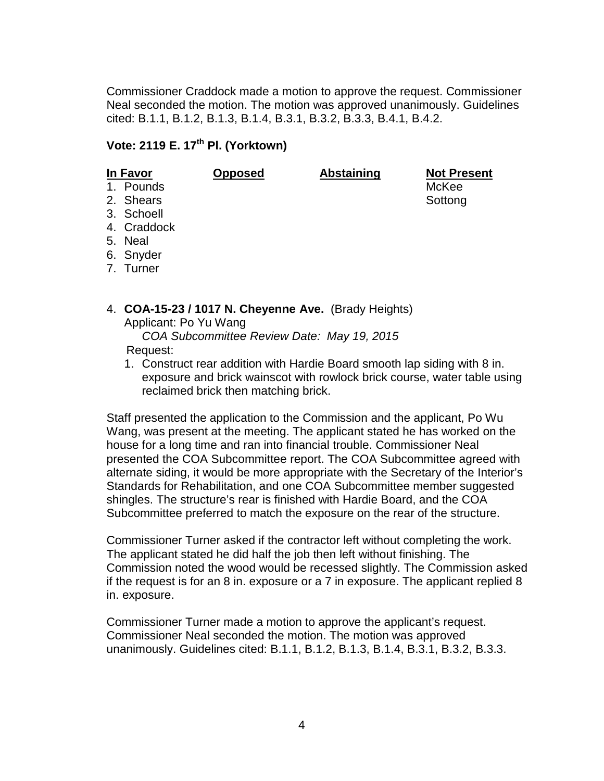Commissioner Craddock made a motion to approve the request. Commissioner Neal seconded the motion. The motion was approved unanimously. Guidelines cited: B.1.1, B.1.2, B.1.3, B.1.4, B.3.1, B.3.2, B.3.3, B.4.1, B.4.2.

# **Vote: 2119 E. 17th Pl. (Yorktown)**

| In Favor |             | <b>Opposed</b> | <b>Abstaining</b> | <b>Not Present</b> |
|----------|-------------|----------------|-------------------|--------------------|
|          | 1. Pounds   |                |                   | McKee              |
|          | 2. Shears   |                |                   | Sottong            |
|          | 3. Schoell  |                |                   |                    |
|          | 4. Craddock |                |                   |                    |
|          | 5. Neal     |                |                   |                    |
|          | 6. Snyder   |                |                   |                    |

- 7. Turner
- 4. **COA-15-23 / 1017 N. Cheyenne Ave.** (Brady Heights) Applicant: Po Yu Wang *COA Subcommittee Review Date: May 19, 2015*

Request:

1. Construct rear addition with Hardie Board smooth lap siding with 8 in. exposure and brick wainscot with rowlock brick course, water table using reclaimed brick then matching brick.

Staff presented the application to the Commission and the applicant, Po Wu Wang, was present at the meeting. The applicant stated he has worked on the house for a long time and ran into financial trouble. Commissioner Neal presented the COA Subcommittee report. The COA Subcommittee agreed with alternate siding, it would be more appropriate with the Secretary of the Interior's Standards for Rehabilitation, and one COA Subcommittee member suggested shingles. The structure's rear is finished with Hardie Board, and the COA Subcommittee preferred to match the exposure on the rear of the structure.

Commissioner Turner asked if the contractor left without completing the work. The applicant stated he did half the job then left without finishing. The Commission noted the wood would be recessed slightly. The Commission asked if the request is for an 8 in. exposure or a 7 in exposure. The applicant replied 8 in. exposure.

Commissioner Turner made a motion to approve the applicant's request. Commissioner Neal seconded the motion. The motion was approved unanimously. Guidelines cited: B.1.1, B.1.2, B.1.3, B.1.4, B.3.1, B.3.2, B.3.3.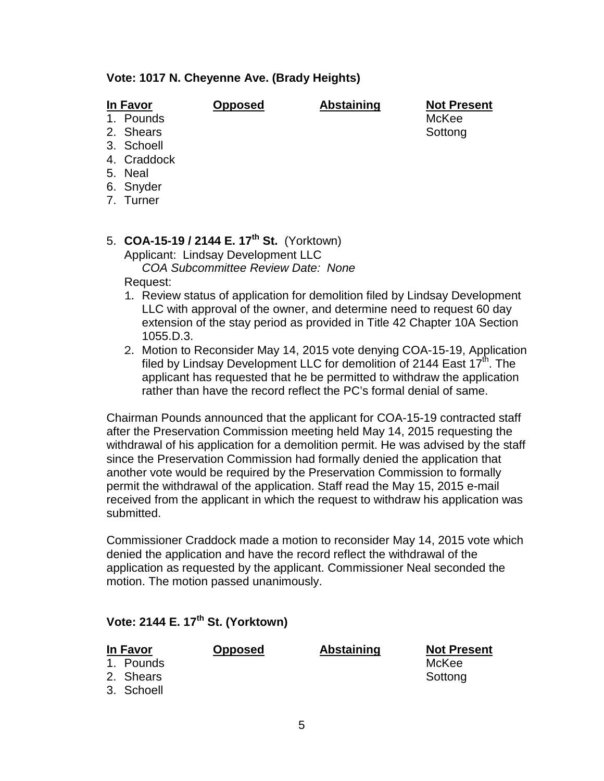### **Vote: 1017 N. Cheyenne Ave. (Brady Heights)**

**In Favor Opposed Abstaining Not Present**

- 1. Pounds and the contract of the contract of the McKee
- 2. Shears Sottong and Sottong Sottong Sottong Sottong Sottong Sottong Sottong Sottong Sottong Sottong Sottong Sottong Sottong Sottong Sottong Sottong Sottong Sottong Sottong Sottong Sottong Sottong Sottong Sottong Sottong
- 3. Schoell
- 4. Craddock
- 5. Neal
- 6. Snyder
- 7. Turner

### 5. **COA-15-19 / 2144 E. 17th St.** (Yorktown) Applicant: Lindsay Development LLC *COA Subcommittee Review Date: None*

Request:

- 1. Review status of application for demolition filed by Lindsay Development LLC with approval of the owner, and determine need to request 60 day extension of the stay period as provided in Title 42 Chapter 10A Section 1055.D.3.
- 2. Motion to Reconsider May 14, 2015 vote denying COA-15-19, Application filed by Lindsay Development LLC for demolition of 2144 East  $17<sup>th</sup>$ . The applicant has requested that he be permitted to withdraw the application rather than have the record reflect the PC's formal denial of same.

Chairman Pounds announced that the applicant for COA-15-19 contracted staff after the Preservation Commission meeting held May 14, 2015 requesting the withdrawal of his application for a demolition permit. He was advised by the staff since the Preservation Commission had formally denied the application that another vote would be required by the Preservation Commission to formally permit the withdrawal of the application. Staff read the May 15, 2015 e-mail received from the applicant in which the request to withdraw his application was submitted.

Commissioner Craddock made a motion to reconsider May 14, 2015 vote which denied the application and have the record reflect the withdrawal of the application as requested by the applicant. Commissioner Neal seconded the motion. The motion passed unanimously.

# **Vote: 2144 E. 17th St. (Yorktown)**

| In Favor |            | <b>Opposed</b> | Abstaining | <b>Not Present</b> |
|----------|------------|----------------|------------|--------------------|
|          | 1. Pounds  |                |            | McKee              |
|          | 2. Shears  |                |            | Sottong            |
|          | 3. Schoell |                |            |                    |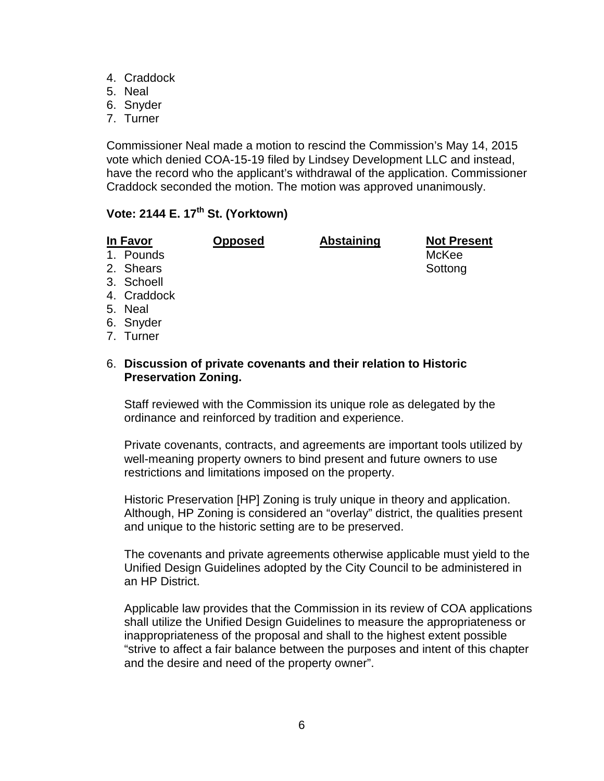- 4. Craddock
- 5. Neal
- 6. Snyder
- 7. Turner

Commissioner Neal made a motion to rescind the Commission's May 14, 2015 vote which denied COA-15-19 filed by Lindsey Development LLC and instead, have the record who the applicant's withdrawal of the application. Commissioner Craddock seconded the motion. The motion was approved unanimously.

# **Vote: 2144 E. 17th St. (Yorktown)**

**In Favor Opposed Abstaining Not Present** 1. Pounds and the contract of the contract of the McKee

- 2. Shears Sottong and Sottong Sottong Sottong Sottong Sottong Sottong Sottong Sottong Sottong Sottong Sottong Sottong Sottong Sottong Sottong Sottong Sottong Sottong Sottong Sottong Sottong Sottong Sottong Sottong Sottong
- 3. Schoell
- 4. Craddock
- 5. Neal
- 6. Snyder
- 7. Turner

### 6. **Discussion of private covenants and their relation to Historic Preservation Zoning.**

Staff reviewed with the Commission its unique role as delegated by the ordinance and reinforced by tradition and experience.

Private covenants, contracts, and agreements are important tools utilized by well-meaning property owners to bind present and future owners to use restrictions and limitations imposed on the property.

Historic Preservation [HP] Zoning is truly unique in theory and application. Although, HP Zoning is considered an "overlay" district, the qualities present and unique to the historic setting are to be preserved.

The covenants and private agreements otherwise applicable must yield to the Unified Design Guidelines adopted by the City Council to be administered in an HP District.

Applicable law provides that the Commission in its review of COA applications shall utilize the Unified Design Guidelines to measure the appropriateness or inappropriateness of the proposal and shall to the highest extent possible "strive to affect a fair balance between the purposes and intent of this chapter and the desire and need of the property owner".